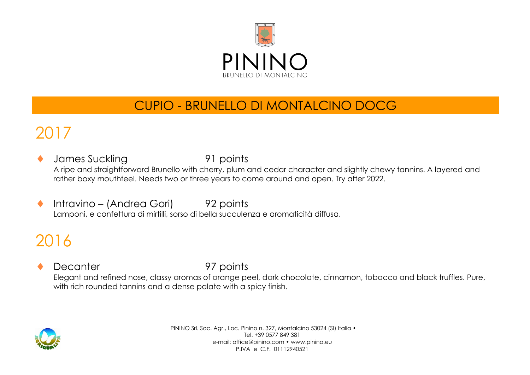

### CUPIO - BRUNELLO DI MONTALCINO DOCG

# 2017

- James Suckling 91 points A ripe and straightforward Brunello with cherry, plum and cedar character and slightly chewy tannins. A layered and rather boxy mouthfeel. Needs two or three years to come around and open. Try after 2022.
- ◆ Intravino (Andrea Gori) 92 points Lamponi, e confettura di mirtilli, sorso di bella succulenza e aromaticità diffusa.

# 2016

Decanter 97 points Elegant and refined nose, classy aromas of orange peel, dark chocolate, cinnamon, tobacco and black truffles. Pure, with rich rounded tannins and a dense palate with a spicy finish.

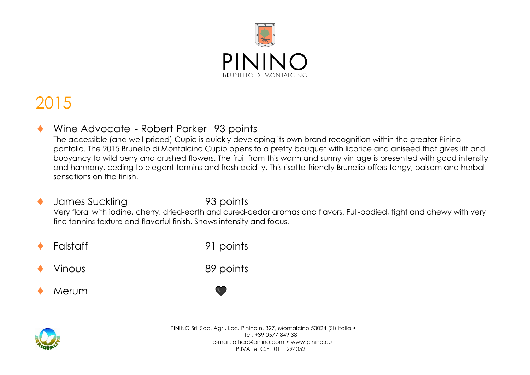

## 2015

#### Wine Advocate - Robert Parker 93 points

The accessible (and well-priced) Cupio is quickly developing its own brand recognition within the greater Pinino portfolio. The 2015 Brunello di Montalcino Cupio opens to a pretty bouquet with licorice and aniseed that gives lift and buoyancy to wild berry and crushed flowers. The fruit from this warm and sunny vintage is presented with good intensity and harmony, ceding to elegant tannins and fresh acidity. This risotto-friendly Brunelio offers tangy, balsam and herbal sensations on the finish.

- James Suckling 93 points Very floral with iodine, cherry, dried-earth and cured-cedar aromas and flavors. Full-bodied, tight and chewy with very fine tannins texture and flavorful finish. Shows intensity and focus.
- 

Falstaff 91 points

Vinous 89 points

Merum

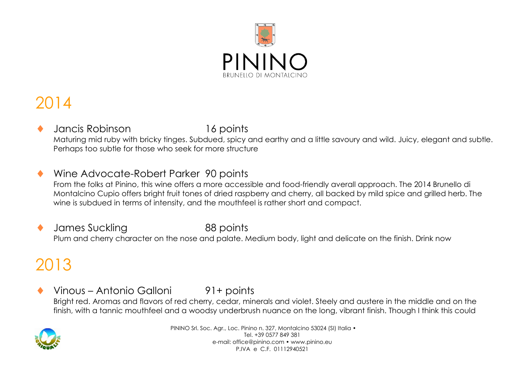

## 2014

 Jancis Robinson 16 points Maturing mid ruby with bricky tinges. Subdued, spicy and earthy and a little savoury and wild. Juicy, elegant and subtle. Perhaps too subtle for those who seek for more structure

#### Wine Advocate-Robert Parker 90 points

From the folks at Pinino, this wine offers a more accessible and food-friendly averall approach. The 2014 Brunello di Montalcino Cupio offers bright fruit tones of dried raspberry and cherry, all backed by mild spice and grilled herb. The wine is subdued in terms of intensity, and the mouthfeel is rather short and compact.

 James Suckling 88 points Plum and cherry character on the nose and palate. Medium body, light and delicate on the finish. Drink now

## 2013

 Vinous – Antonio Galloni 91+ points Bright red. Aromas and flavors of red cherry, cedar, minerals and violet. Steely and austere in the middle and on the finish, with a tannic mouthfeel and a woodsy underbrush nuance on the long, vibrant finish. Though I think this could